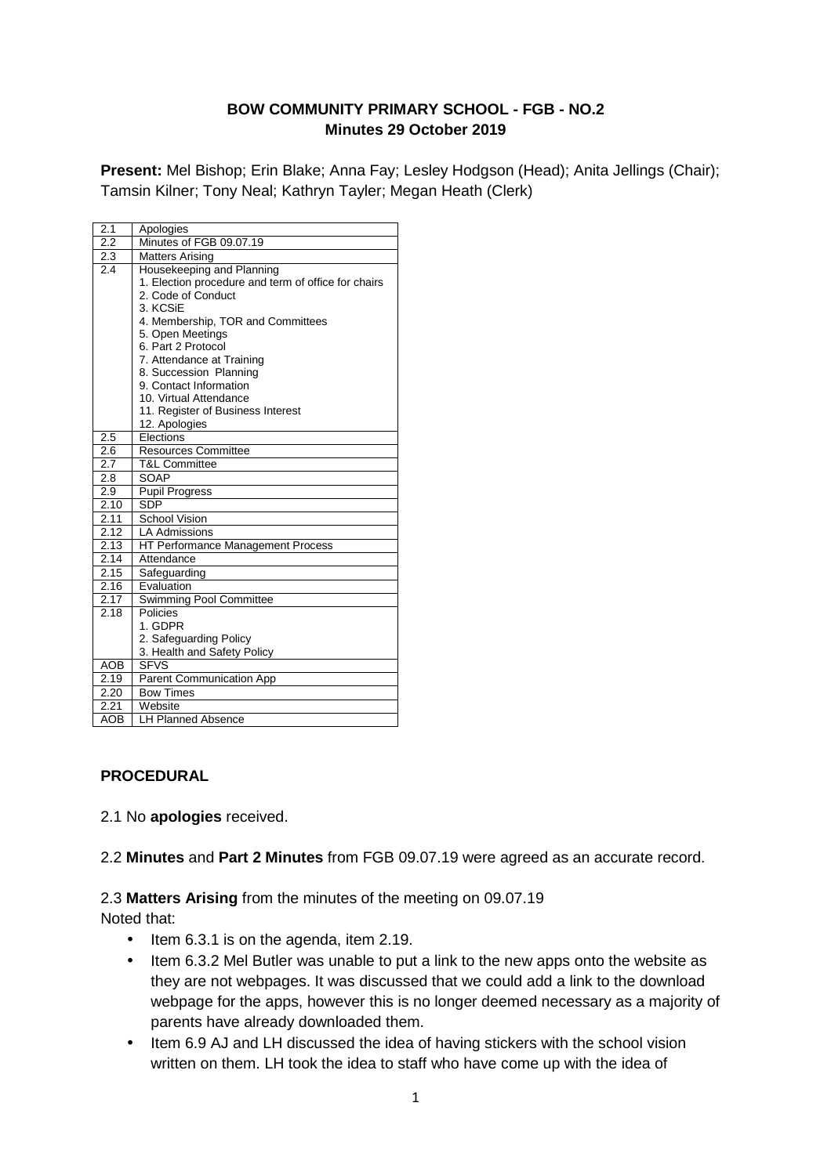## **BOW COMMUNITY PRIMARY SCHOOL - FGB - NO.2 Minutes 29 October 2019**

**Present:** Mel Bishop; Erin Blake; Anna Fay; Lesley Hodgson (Head); Anita Jellings (Chair); Tamsin Kilner; Tony Neal; Kathryn Tayler; Megan Heath (Clerk)

| 2.1              | Apologies                                                                                                                                                                                                                                                                                                                                                          |
|------------------|--------------------------------------------------------------------------------------------------------------------------------------------------------------------------------------------------------------------------------------------------------------------------------------------------------------------------------------------------------------------|
| $\overline{2.2}$ | Minutes of FGB 09.07.19                                                                                                                                                                                                                                                                                                                                            |
| 2.3              | <b>Matters Arising</b>                                                                                                                                                                                                                                                                                                                                             |
| 2.4              | Housekeeping and Planning<br>1. Election procedure and term of office for chairs<br>2. Code of Conduct<br>3. KCSiE<br>4. Membership, TOR and Committees<br>5. Open Meetings<br>6. Part 2 Protocol<br>7. Attendance at Training<br>8. Succession Planning<br>9. Contact Information<br>10. Virtual Attendance<br>11. Register of Business Interest<br>12. Apologies |
| 2.5              | Elections                                                                                                                                                                                                                                                                                                                                                          |
| 2.6              | <b>Resources Committee</b>                                                                                                                                                                                                                                                                                                                                         |
| 2.7              | <b>T&amp;L Committee</b>                                                                                                                                                                                                                                                                                                                                           |
| 2.8              | SOAP                                                                                                                                                                                                                                                                                                                                                               |
| 2.9              | <b>Pupil Progress</b>                                                                                                                                                                                                                                                                                                                                              |
| 2.10             | <b>SDP</b>                                                                                                                                                                                                                                                                                                                                                         |
| 2.11             | <b>School Vision</b>                                                                                                                                                                                                                                                                                                                                               |
| 2.12             | <b>LA Admissions</b>                                                                                                                                                                                                                                                                                                                                               |
| 2.13             | HT Performance Management Process                                                                                                                                                                                                                                                                                                                                  |
| 2.14             | Attendance                                                                                                                                                                                                                                                                                                                                                         |
| 2.15             | Safeguarding                                                                                                                                                                                                                                                                                                                                                       |
| 2.16             | Evaluation                                                                                                                                                                                                                                                                                                                                                         |
| 2.17             | Swimming Pool Committee                                                                                                                                                                                                                                                                                                                                            |
| 2.18             | Policies<br>1. GDPR<br>2. Safeguarding Policy<br>3. Health and Safety Policy                                                                                                                                                                                                                                                                                       |
| <b>AOB</b>       | <b>SFVS</b>                                                                                                                                                                                                                                                                                                                                                        |
| 2.19             | Parent Communication App                                                                                                                                                                                                                                                                                                                                           |
| 2.20             | <b>Bow Times</b>                                                                                                                                                                                                                                                                                                                                                   |
| 2.21             | Website                                                                                                                                                                                                                                                                                                                                                            |
| <b>AOB</b>       | <b>LH Planned Absence</b>                                                                                                                                                                                                                                                                                                                                          |

## **PROCEDURAL**

2.1 No **apologies** received.

2.2 **Minutes** and **Part 2 Minutes** from FGB 09.07.19 were agreed as an accurate record.

# 2.3 **Matters Arising** from the minutes of the meeting on 09.07.19

Noted that:

- Item 6.3.1 is on the agenda, item 2.19.
- Item 6.3.2 Mel Butler was unable to put a link to the new apps onto the website as they are not webpages. It was discussed that we could add a link to the download webpage for the apps, however this is no longer deemed necessary as a majority of parents have already downloaded them.
- Item 6.9 AJ and LH discussed the idea of having stickers with the school vision written on them. LH took the idea to staff who have come up with the idea of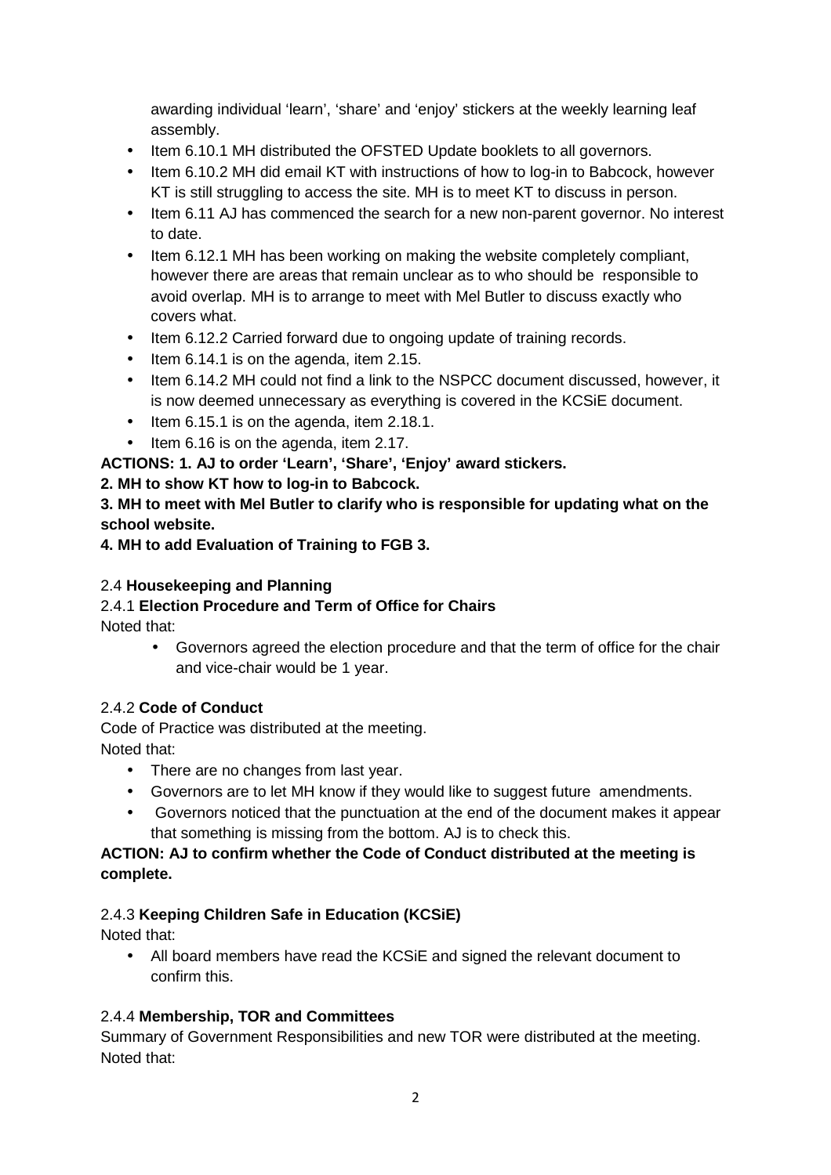awarding individual 'learn', 'share' and 'enjoy' stickers at the weekly learning leaf assembly.

- Item 6.10.1 MH distributed the OFSTED Update booklets to all governors.
- Item 6.10.2 MH did email KT with instructions of how to log-in to Babcock, however KT is still struggling to access the site. MH is to meet KT to discuss in person.
- Item 6.11 AJ has commenced the search for a new non-parent governor. No interest to date.
- Item 6.12.1 MH has been working on making the website completely compliant, however there are areas that remain unclear as to who should be responsible to avoid overlap. MH is to arrange to meet with Mel Butler to discuss exactly who covers what.
- Item 6.12.2 Carried forward due to ongoing update of training records.
- Item 6.14.1 is on the agenda, item 2.15.
- Item 6.14.2 MH could not find a link to the NSPCC document discussed, however, it is now deemed unnecessary as everything is covered in the KCSiE document.
- Item 6.15.1 is on the agenda, item 2.18.1.
- Item 6.16 is on the agenda, item 2.17.

**ACTIONS: 1. AJ to order 'Learn', 'Share', 'Enjoy' award stickers.** 

# **2. MH to show KT how to log-in to Babcock.**

**3. MH to meet with Mel Butler to clarify who is responsible for updating what on the school website.** 

**4. MH to add Evaluation of Training to FGB 3.** 

# 2.4 **Housekeeping and Planning**

## 2.4.1 **Election Procedure and Term of Office for Chairs** Noted that:

• Governors agreed the election procedure and that the term of office for the chair and vice-chair would be 1 year.

# 2.4.2 **Code of Conduct**

Code of Practice was distributed at the meeting. Noted that:

- There are no changes from last year.
- Governors are to let MH know if they would like to suggest future amendments.
- Governors noticed that the punctuation at the end of the document makes it appear that something is missing from the bottom. AJ is to check this.

# **ACTION: AJ to confirm whether the Code of Conduct distributed at the meeting is complete.**

# 2.4.3 **Keeping Children Safe in Education (KCSiE)**

Noted that:

• All board members have read the KCSiE and signed the relevant document to confirm this.

# 2.4.4 **Membership, TOR and Committees**

Summary of Government Responsibilities and new TOR were distributed at the meeting. Noted that: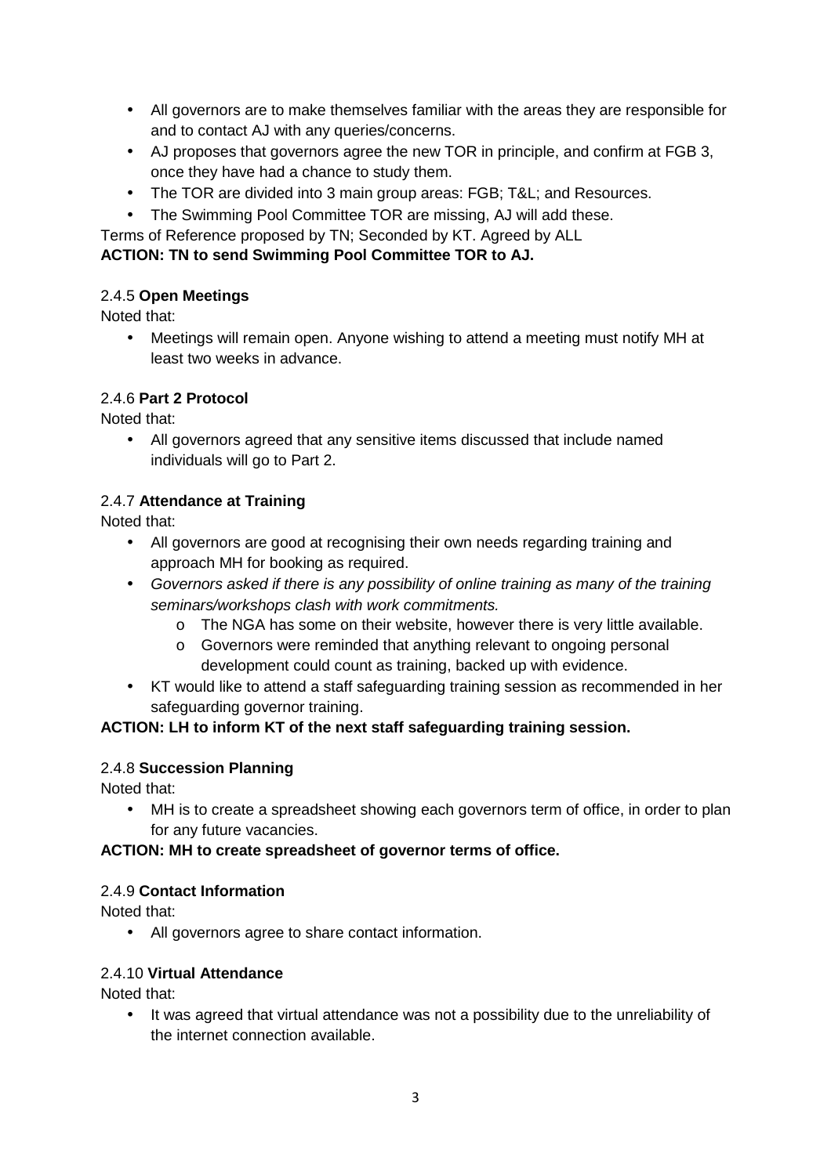- All governors are to make themselves familiar with the areas they are responsible for and to contact AJ with any queries/concerns.
- AJ proposes that governors agree the new TOR in principle, and confirm at FGB 3, once they have had a chance to study them.
- The TOR are divided into 3 main group areas: FGB; T&L; and Resources.
- The Swimming Pool Committee TOR are missing, AJ will add these.
- Terms of Reference proposed by TN; Seconded by KT. Agreed by ALL

## **ACTION: TN to send Swimming Pool Committee TOR to AJ.**

## 2.4.5 **Open Meetings**

Noted that:

• Meetings will remain open. Anyone wishing to attend a meeting must notify MH at least two weeks in advance.

## 2.4.6 **Part 2 Protocol**

Noted that:

• All governors agreed that any sensitive items discussed that include named individuals will go to Part 2.

## 2.4.7 **Attendance at Training**

Noted that:

- All governors are good at recognising their own needs regarding training and approach MH for booking as required.
- Governors asked if there is any possibility of online training as many of the training seminars/workshops clash with work commitments.
	- o The NGA has some on their website, however there is very little available.
	- $\circ$  Governors were reminded that anything relevant to ongoing personal development could count as training, backed up with evidence.
- KT would like to attend a staff safeguarding training session as recommended in her safeguarding governor training.

## **ACTION: LH to inform KT of the next staff safeguarding training session.**

## 2.4.8 **Succession Planning**

Noted that:

• MH is to create a spreadsheet showing each governors term of office, in order to plan for any future vacancies.

## **ACTION: MH to create spreadsheet of governor terms of office.**

## 2.4.9 **Contact Information**

Noted that:

• All governors agree to share contact information.

## 2.4.10 **Virtual Attendance**

Noted that:

• It was agreed that virtual attendance was not a possibility due to the unreliability of the internet connection available.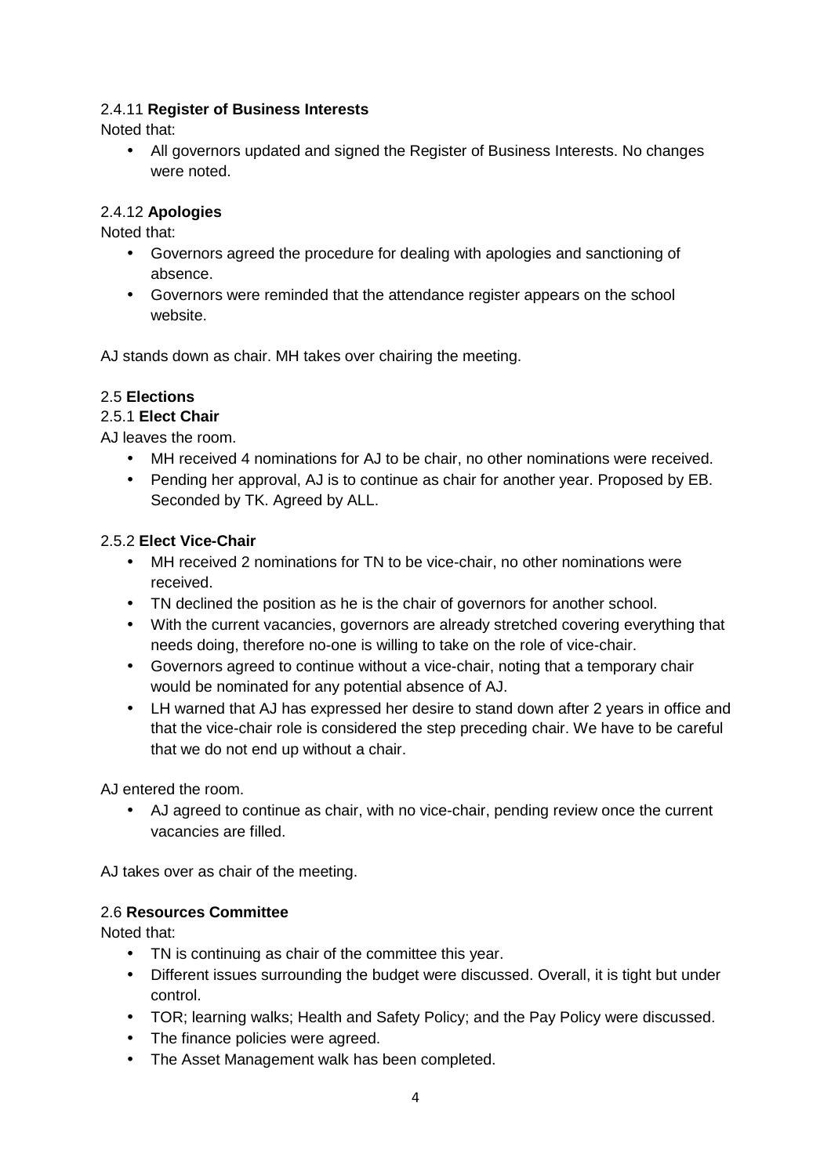## 2.4.11 **Register of Business Interests**

Noted that:

• All governors updated and signed the Register of Business Interests. No changes were noted.

## 2.4.12 **Apologies**

Noted that:

- Governors agreed the procedure for dealing with apologies and sanctioning of absence.
- Governors were reminded that the attendance register appears on the school website.

AJ stands down as chair. MH takes over chairing the meeting.

# 2.5 **Elections**

## 2.5.1 **Elect Chair**

AJ leaves the room.

- MH received 4 nominations for AJ to be chair, no other nominations were received.
- Pending her approval, AJ is to continue as chair for another year. Proposed by EB. Seconded by TK. Agreed by ALL.

## 2.5.2 **Elect Vice-Chair**

- MH received 2 nominations for TN to be vice-chair, no other nominations were received.
- TN declined the position as he is the chair of governors for another school.
- With the current vacancies, governors are already stretched covering everything that needs doing, therefore no-one is willing to take on the role of vice-chair.
- Governors agreed to continue without a vice-chair, noting that a temporary chair would be nominated for any potential absence of AJ.
- LH warned that AJ has expressed her desire to stand down after 2 years in office and that the vice-chair role is considered the step preceding chair. We have to be careful that we do not end up without a chair.

AJ entered the room.

• AJ agreed to continue as chair, with no vice-chair, pending review once the current vacancies are filled.

AJ takes over as chair of the meeting.

## 2.6 **Resources Committee**

Noted that:

- TN is continuing as chair of the committee this year.
- Different issues surrounding the budget were discussed. Overall, it is tight but under control.
- TOR; learning walks; Health and Safety Policy; and the Pay Policy were discussed.
- The finance policies were agreed.
- The Asset Management walk has been completed.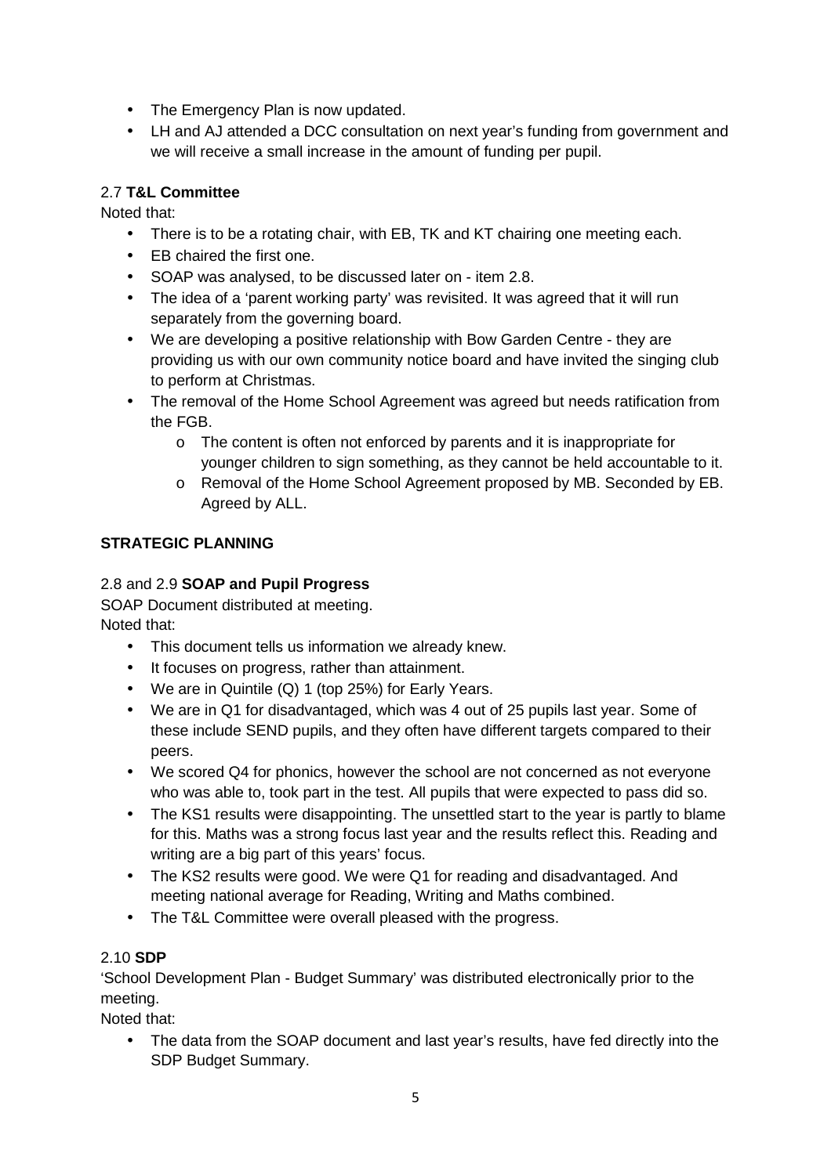- The Emergency Plan is now updated.
- LH and AJ attended a DCC consultation on next year's funding from government and we will receive a small increase in the amount of funding per pupil.

#### 2.7 **T&L Committee**

Noted that:

- There is to be a rotating chair, with EB, TK and KT chairing one meeting each.
- EB chaired the first one.
- SOAP was analysed, to be discussed later on item 2.8.
- The idea of a 'parent working party' was revisited. It was agreed that it will run separately from the governing board.
- We are developing a positive relationship with Bow Garden Centre they are providing us with our own community notice board and have invited the singing club to perform at Christmas.
- The removal of the Home School Agreement was agreed but needs ratification from the FGB.
	- o The content is often not enforced by parents and it is inappropriate for younger children to sign something, as they cannot be held accountable to it.
	- o Removal of the Home School Agreement proposed by MB. Seconded by EB. Agreed by ALL.

## **STRATEGIC PLANNING**

## 2.8 and 2.9 **SOAP and Pupil Progress**

SOAP Document distributed at meeting. Noted that:

- This document tells us information we already knew.
- It focuses on progress, rather than attainment.
- We are in Quintile (Q) 1 (top 25%) for Early Years.
- We are in Q1 for disadvantaged, which was 4 out of 25 pupils last year. Some of these include SEND pupils, and they often have different targets compared to their peers.
- We scored Q4 for phonics, however the school are not concerned as not everyone who was able to, took part in the test. All pupils that were expected to pass did so.
- The KS1 results were disappointing. The unsettled start to the year is partly to blame for this. Maths was a strong focus last year and the results reflect this. Reading and writing are a big part of this years' focus.
- The KS2 results were good. We were Q1 for reading and disadvantaged. And meeting national average for Reading, Writing and Maths combined.
- The T&L Committee were overall pleased with the progress.

## 2.10 **SDP**

'School Development Plan - Budget Summary' was distributed electronically prior to the meeting.

Noted that:

• The data from the SOAP document and last year's results, have fed directly into the SDP Budget Summary.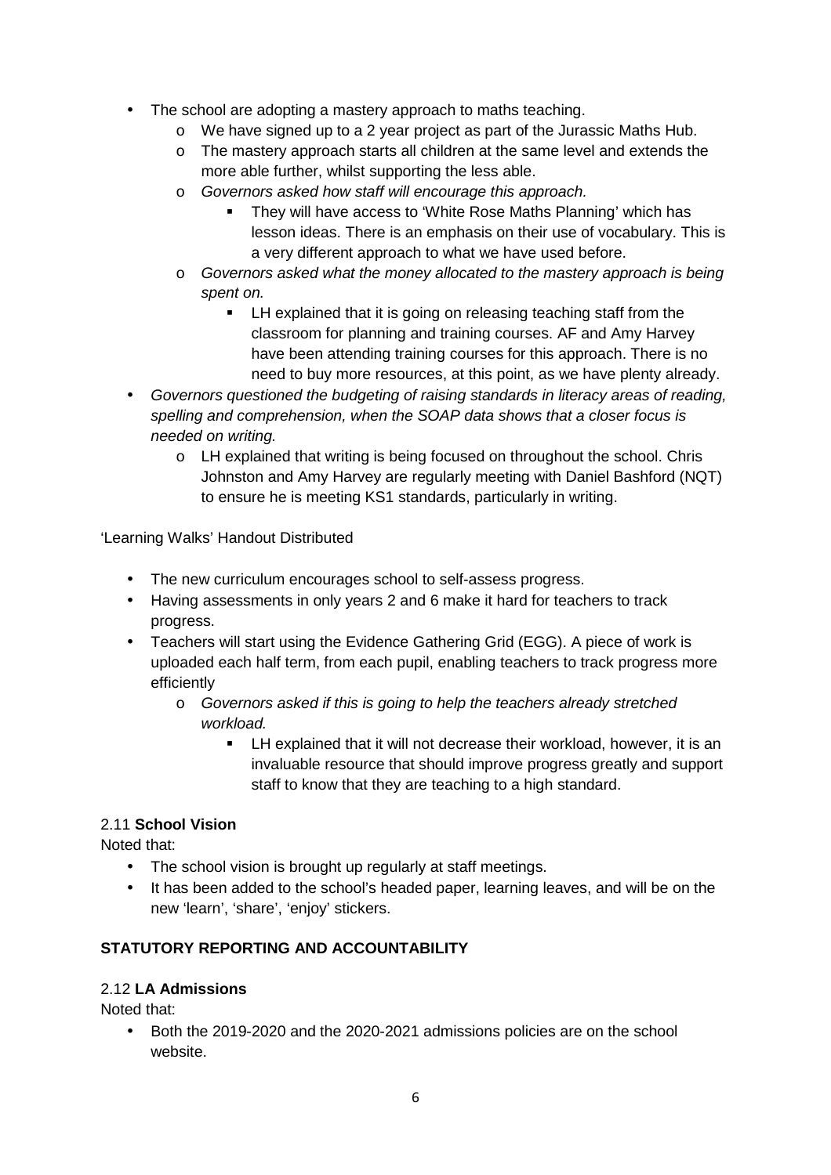- The school are adopting a mastery approach to maths teaching.
	- o We have signed up to a 2 year project as part of the Jurassic Maths Hub.
	- o The mastery approach starts all children at the same level and extends the more able further, whilst supporting the less able.
	- o Governors asked how staff will encourage this approach.
		- **They will have access to 'White Rose Maths Planning' which has** lesson ideas. There is an emphasis on their use of vocabulary. This is a very different approach to what we have used before.
	- o Governors asked what the money allocated to the mastery approach is being spent on.
		- **EXECT** LH explained that it is going on releasing teaching staff from the classroom for planning and training courses. AF and Amy Harvey have been attending training courses for this approach. There is no need to buy more resources, at this point, as we have plenty already.
- Governors questioned the budgeting of raising standards in literacy areas of reading, spelling and comprehension, when the SOAP data shows that a closer focus is needed on writing.
	- o LH explained that writing is being focused on throughout the school. Chris Johnston and Amy Harvey are regularly meeting with Daniel Bashford (NQT) to ensure he is meeting KS1 standards, particularly in writing.

'Learning Walks' Handout Distributed

- The new curriculum encourages school to self-assess progress.
- Having assessments in only years 2 and 6 make it hard for teachers to track progress.
- Teachers will start using the Evidence Gathering Grid (EGG). A piece of work is uploaded each half term, from each pupil, enabling teachers to track progress more efficiently
	- o Governors asked if this is going to help the teachers already stretched workload.
		- LH explained that it will not decrease their workload, however, it is an invaluable resource that should improve progress greatly and support staff to know that they are teaching to a high standard.

# 2.11 **School Vision**

Noted that:

- The school vision is brought up regularly at staff meetings.
- It has been added to the school's headed paper, learning leaves, and will be on the new 'learn', 'share', 'enjoy' stickers.

# **STATUTORY REPORTING AND ACCOUNTABILITY**

## 2.12 **LA Admissions**

Noted that:

• Both the 2019-2020 and the 2020-2021 admissions policies are on the school website.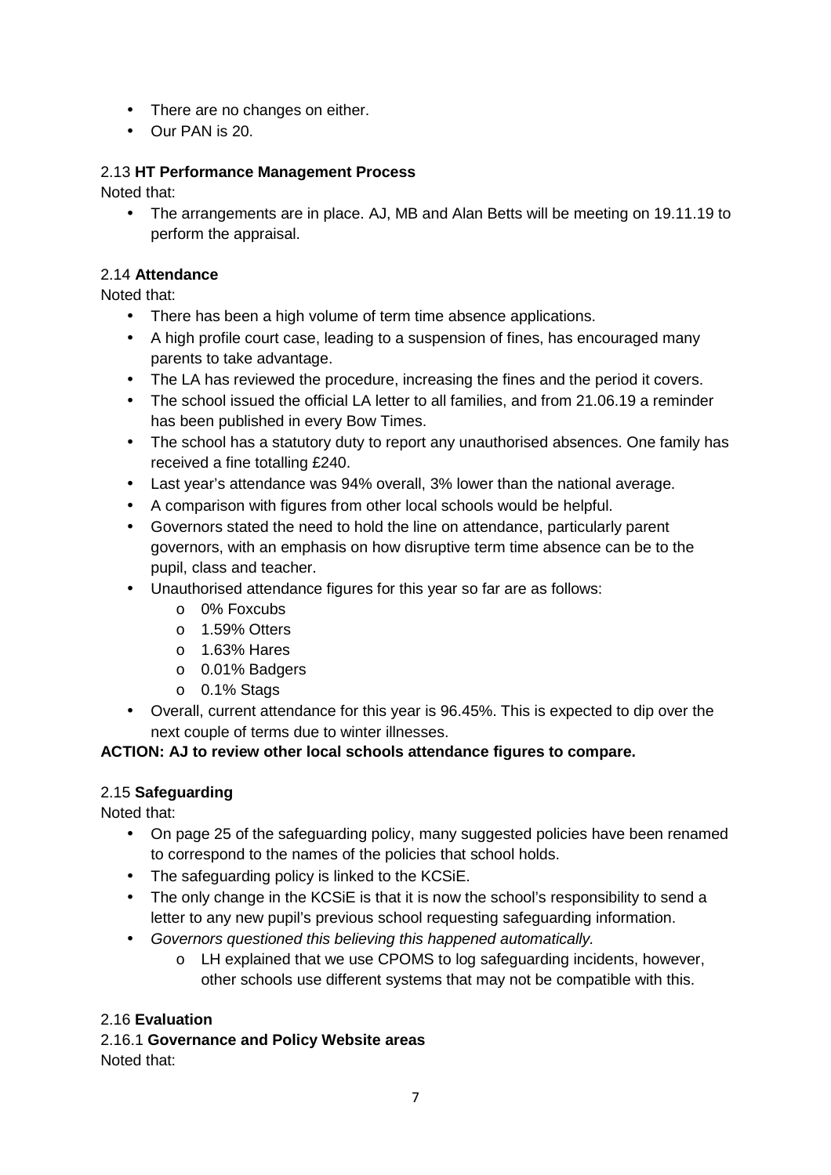- There are no changes on either.
- Our PAN is 20.

## 2.13 **HT Performance Management Process**

Noted that:

• The arrangements are in place. AJ, MB and Alan Betts will be meeting on 19.11.19 to perform the appraisal.

## 2.14 **Attendance**

Noted that:

- There has been a high volume of term time absence applications.
- A high profile court case, leading to a suspension of fines, has encouraged many parents to take advantage.
- The LA has reviewed the procedure, increasing the fines and the period it covers.
- The school issued the official LA letter to all families, and from 21.06.19 a reminder has been published in every Bow Times.
- The school has a statutory duty to report any unauthorised absences. One family has received a fine totalling £240.
- Last year's attendance was 94% overall, 3% lower than the national average.
- A comparison with figures from other local schools would be helpful.
- Governors stated the need to hold the line on attendance, particularly parent governors, with an emphasis on how disruptive term time absence can be to the pupil, class and teacher.
- Unauthorised attendance figures for this year so far are as follows:
	- o 0% Foxcubs
	- o 1.59% Otters
	- o 1.63% Hares
	- o 0.01% Badgers
	- o 0.1% Stags
- Overall, current attendance for this year is 96.45%. This is expected to dip over the next couple of terms due to winter illnesses.

## **ACTION: AJ to review other local schools attendance figures to compare.**

# 2.15 **Safeguarding**

Noted that:

- On page 25 of the safeguarding policy, many suggested policies have been renamed to correspond to the names of the policies that school holds.
- The safeguarding policy is linked to the KCSiE.
- The only change in the KCSiE is that it is now the school's responsibility to send a letter to any new pupil's previous school requesting safeguarding information.
- Governors questioned this believing this happened automatically.
	- o LH explained that we use CPOMS to log safeguarding incidents, however, other schools use different systems that may not be compatible with this.

# 2.16 **Evaluation**

2.16.1 **Governance and Policy Website areas**  Noted that: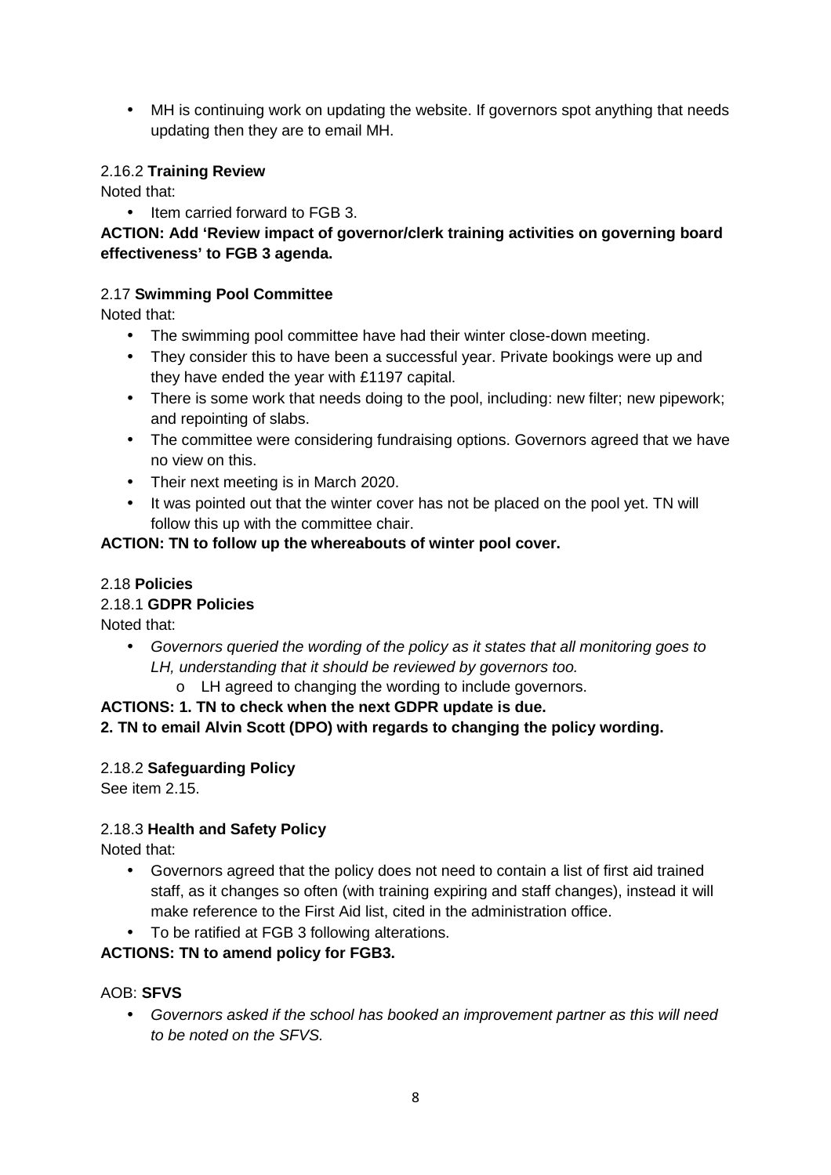• MH is continuing work on updating the website. If governors spot anything that needs updating then they are to email MH.

#### 2.16.2 **Training Review**

Noted that:

• Item carried forward to FGB 3.

## **ACTION: Add 'Review impact of governor/clerk training activities on governing board effectiveness' to FGB 3 agenda.**

## 2.17 **Swimming Pool Committee**

Noted that:

- The swimming pool committee have had their winter close-down meeting.
- They consider this to have been a successful year. Private bookings were up and they have ended the year with £1197 capital.
- There is some work that needs doing to the pool, including: new filter; new pipework; and repointing of slabs.
- The committee were considering fundraising options. Governors agreed that we have no view on this.
- Their next meeting is in March 2020.
- It was pointed out that the winter cover has not be placed on the pool yet. TN will follow this up with the committee chair.

#### **ACTION: TN to follow up the whereabouts of winter pool cover.**

#### 2.18 **Policies**

#### 2.18.1 **GDPR Policies**

Noted that:

- Governors queried the wording of the policy as it states that all monitoring goes to LH, understanding that it should be reviewed by governors too.
	- o LH agreed to changing the wording to include governors.

#### **ACTIONS: 1. TN to check when the next GDPR update is due.**

**2. TN to email Alvin Scott (DPO) with regards to changing the policy wording.** 

#### 2.18.2 **Safeguarding Policy**

See item 2.15.

## 2.18.3 **Health and Safety Policy**

Noted that:

- Governors agreed that the policy does not need to contain a list of first aid trained staff, as it changes so often (with training expiring and staff changes), instead it will make reference to the First Aid list, cited in the administration office.
- To be ratified at FGB 3 following alterations.

## **ACTIONS: TN to amend policy for FGB3.**

#### AOB: **SFVS**

• Governors asked if the school has booked an improvement partner as this will need to be noted on the SFVS.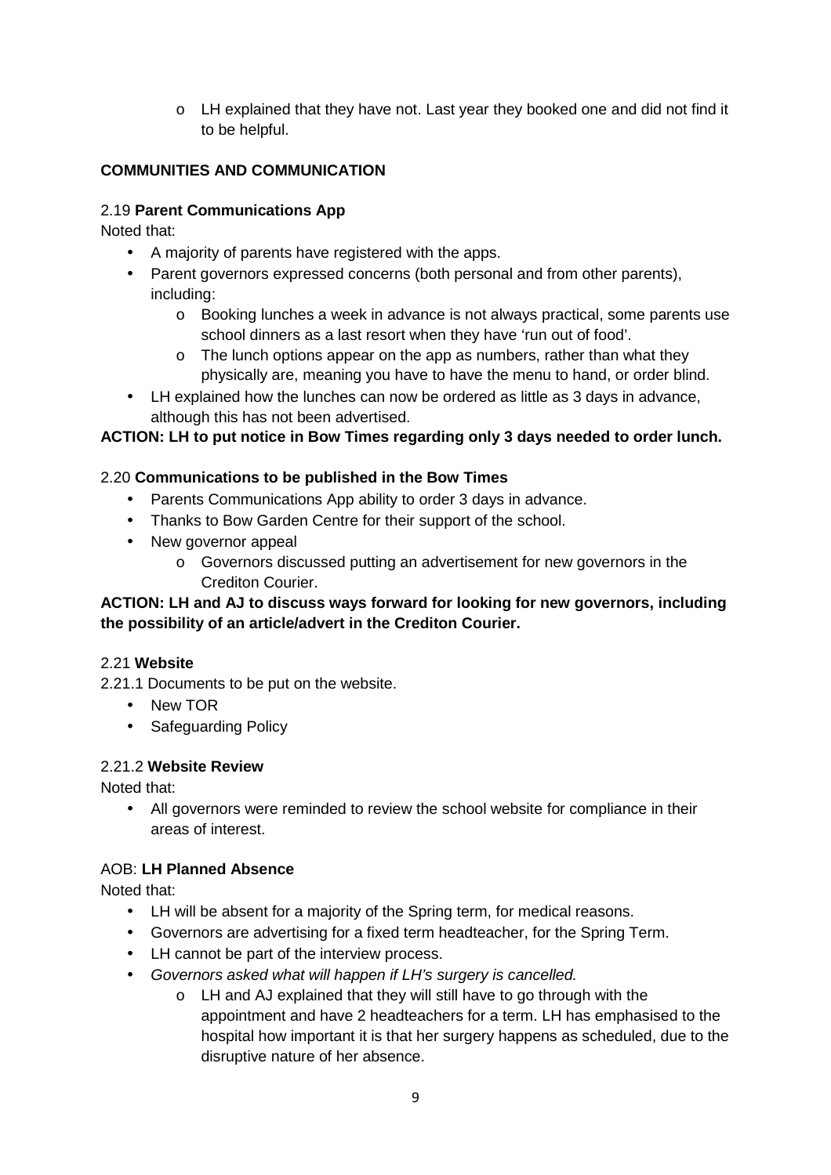$\circ$  LH explained that they have not. Last year they booked one and did not find it to be helpful.

# **COMMUNITIES AND COMMUNICATION**

## 2.19 **Parent Communications App**

Noted that:

- A majority of parents have registered with the apps.
- Parent governors expressed concerns (both personal and from other parents), including:
	- o Booking lunches a week in advance is not always practical, some parents use school dinners as a last resort when they have 'run out of food'.
	- o The lunch options appear on the app as numbers, rather than what they physically are, meaning you have to have the menu to hand, or order blind.
- LH explained how the lunches can now be ordered as little as 3 days in advance, although this has not been advertised.

## **ACTION: LH to put notice in Bow Times regarding only 3 days needed to order lunch.**

## 2.20 **Communications to be published in the Bow Times**

- Parents Communications App ability to order 3 days in advance.
- Thanks to Bow Garden Centre for their support of the school.
- New governor appeal
	- o Governors discussed putting an advertisement for new governors in the Crediton Courier.

## **ACTION: LH and AJ to discuss ways forward for looking for new governors, including the possibility of an article/advert in the Crediton Courier.**

## 2.21 **Website**

2.21.1 Documents to be put on the website.

- New TOR
- Safeguarding Policy

## 2.21.2 **Website Review**

Noted that:

• All governors were reminded to review the school website for compliance in their areas of interest.

## AOB: **LH Planned Absence**

Noted that:

- LH will be absent for a majority of the Spring term, for medical reasons.
- Governors are advertising for a fixed term headteacher, for the Spring Term.
- LH cannot be part of the interview process.
- Governors asked what will happen if LH's surgery is cancelled.
	- o LH and AJ explained that they will still have to go through with the appointment and have 2 headteachers for a term. LH has emphasised to the hospital how important it is that her surgery happens as scheduled, due to the disruptive nature of her absence.